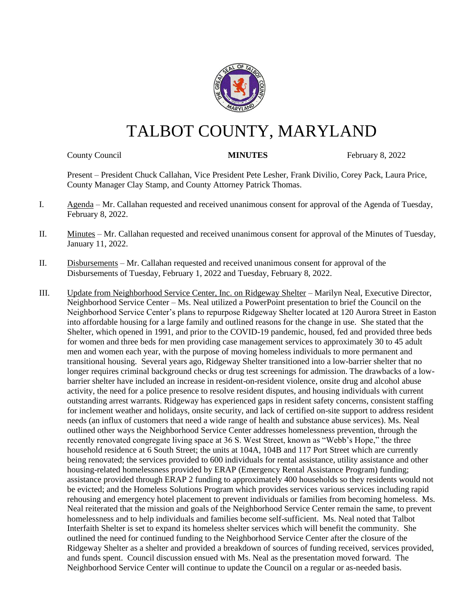

# TALBOT COUNTY, MARYLAND

County Council **MINUTES** February 8, 2022

Present – President Chuck Callahan, Vice President Pete Lesher, Frank Divilio, Corey Pack, Laura Price, County Manager Clay Stamp, and County Attorney Patrick Thomas.

- I. Agenda Mr. Callahan requested and received unanimous consent for approval of the Agenda of Tuesday, February 8, 2022.
- II. Minutes Mr. Callahan requested and received unanimous consent for approval of the Minutes of Tuesday, January 11, 2022.
- II. Disbursements Mr. Callahan requested and received unanimous consent for approval of the Disbursements of Tuesday, February 1, 2022 and Tuesday, February 8, 2022.
- III. Update from Neighborhood Service Center, Inc. on Ridgeway Shelter Marilyn Neal, Executive Director, Neighborhood Service Center – Ms. Neal utilized a PowerPoint presentation to brief the Council on the Neighborhood Service Center's plans to repurpose Ridgeway Shelter located at 120 Aurora Street in Easton into affordable housing for a large family and outlined reasons for the change in use. She stated that the Shelter, which opened in 1991, and prior to the COVID-19 pandemic, housed, fed and provided three beds for women and three beds for men providing case management services to approximately 30 to 45 adult men and women each year, with the purpose of moving homeless individuals to more permanent and transitional housing. Several years ago, Ridgeway Shelter transitioned into a low-barrier shelter that no longer requires criminal background checks or drug test screenings for admission. The drawbacks of a lowbarrier shelter have included an increase in resident-on-resident violence, onsite drug and alcohol abuse activity, the need for a police presence to resolve resident disputes, and housing individuals with current outstanding arrest warrants. Ridgeway has experienced gaps in resident safety concerns, consistent staffing for inclement weather and holidays, onsite security, and lack of certified on-site support to address resident needs (an influx of customers that need a wide range of health and substance abuse services). Ms. Neal outlined other ways the Neighborhood Service Center addresses homelessness prevention, through the recently renovated congregate living space at 36 S. West Street, known as "Webb's Hope," the three household residence at 6 South Street; the units at 104A, 104B and 117 Port Street which are currently being renovated; the services provided to 600 individuals for rental assistance, utility assistance and other housing-related homelessness provided by ERAP (Emergency Rental Assistance Program) funding; assistance provided through ERAP 2 funding to approximately 400 households so they residents would not be evicted; and the Homeless Solutions Program which provides services various services including rapid rehousing and emergency hotel placement to prevent individuals or families from becoming homeless. Ms. Neal reiterated that the mission and goals of the Neighborhood Service Center remain the same, to prevent homelessness and to help individuals and families become self-sufficient. Ms. Neal noted that Talbot Interfaith Shelter is set to expand its homeless shelter services which will benefit the community. She outlined the need for continued funding to the Neighborhood Service Center after the closure of the Ridgeway Shelter as a shelter and provided a breakdown of sources of funding received, services provided, and funds spent. Council discussion ensued with Ms. Neal as the presentation moved forward. The Neighborhood Service Center will continue to update the Council on a regular or as-needed basis.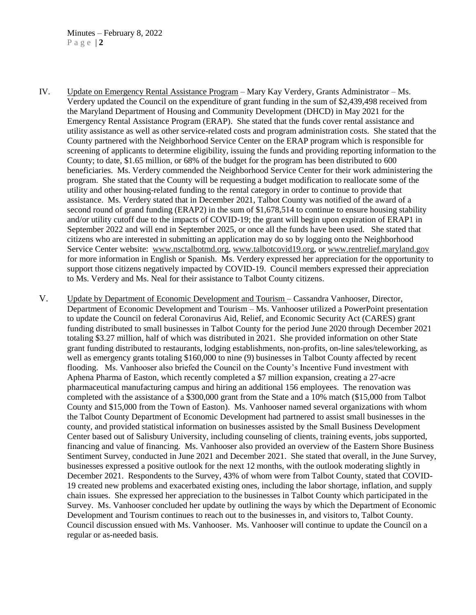- IV. Update on Emergency Rental Assistance Program Mary Kay Verdery, Grants Administrator Ms. Verdery updated the Council on the expenditure of grant funding in the sum of \$2,439,498 received from the Maryland Department of Housing and Community Development (DHCD) in May 2021 for the Emergency Rental Assistance Program (ERAP). She stated that the funds cover rental assistance and utility assistance as well as other service-related costs and program administration costs. She stated that the County partnered with the Neighborhood Service Center on the ERAP program which is responsible for screening of applicants to determine eligibility, issuing the funds and providing reporting information to the County; to date, \$1.65 million, or 68% of the budget for the program has been distributed to 600 beneficiaries. Ms. Verdery commended the Neighborhood Service Center for their work administering the program. She stated that the County will be requesting a budget modification to reallocate some of the utility and other housing-related funding to the rental category in order to continue to provide that assistance. Ms. Verdery stated that in December 2021, Talbot County was notified of the award of a second round of grand funding (ERAP2) in the sum of \$1,678,514 to continue to ensure housing stability and/or utility cutoff due to the impacts of COVID-19; the grant will begin upon expiration of ERAP1 in September 2022 and will end in September 2025, or once all the funds have been used. She stated that citizens who are interested in submitting an application may do so by logging onto the Neighborhood Service Center website: [www.nsctalbotmd.org,](http://www.nsctalbotmd.org/) [www.talbotcovid19.org,](http://www.talbotcovid19.org/) or [www.rentrelief.maryland.gov](http://www.rentrelief.maryland.gov/) for more information in English or Spanish. Ms. Verdery expressed her appreciation for the opportunity to support those citizens negatively impacted by COVID-19. Council members expressed their appreciation to Ms. Verdery and Ms. Neal for their assistance to Talbot County citizens.
- V. Update by Department of Economic Development and Tourism Cassandra Vanhooser, Director, Department of Economic Development and Tourism – Ms. Vanhooser utilized a PowerPoint presentation to update the Council on federal Coronavirus Aid, Relief, and Economic Security Act (CARES) grant funding distributed to small businesses in Talbot County for the period June 2020 through December 2021 totaling \$3.27 million, half of which was distributed in 2021. She provided information on other State grant funding distributed to restaurants, lodging establishments, non-profits, on-line sales/teleworking, as well as emergency grants totaling \$160,000 to nine (9) businesses in Talbot County affected by recent flooding. Ms. Vanhooser also briefed the Council on the County's Incentive Fund investment with Aphena Pharma of Easton, which recently completed a \$7 million expansion, creating a 27-acre pharmaceutical manufacturing campus and hiring an additional 156 employees. The renovation was completed with the assistance of a \$300,000 grant from the State and a 10% match (\$15,000 from Talbot County and \$15,000 from the Town of Easton). Ms. Vanhooser named several organizations with whom the Talbot County Department of Economic Development had partnered to assist small businesses in the county, and provided statistical information on businesses assisted by the Small Business Development Center based out of Salisbury University, including counseling of clients, training events, jobs supported, financing and value of financing. Ms. Vanhooser also provided an overview of the Eastern Shore Business Sentiment Survey, conducted in June 2021 and December 2021. She stated that overall, in the June Survey, businesses expressed a positive outlook for the next 12 months, with the outlook moderating slightly in December 2021. Respondents to the Survey, 43% of whom were from Talbot County, stated that COVID-19 created new problems and exacerbated existing ones, including the labor shortage, inflation, and supply chain issues. She expressed her appreciation to the businesses in Talbot County which participated in the Survey. Ms. Vanhooser concluded her update by outlining the ways by which the Department of Economic Development and Tourism continues to reach out to the businesses in, and visitors to, Talbot County. Council discussion ensued with Ms. Vanhooser. Ms. Vanhooser will continue to update the Council on a regular or as-needed basis.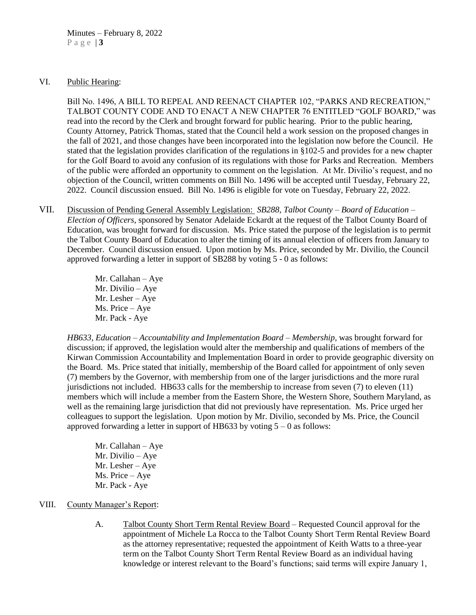#### VI. Public Hearing:

Bill No. 1496, A BILL TO REPEAL AND REENACT CHAPTER 102, "PARKS AND RECREATION," TALBOT COUNTY CODE AND TO ENACT A NEW CHAPTER 76 ENTITLED "GOLF BOARD," was read into the record by the Clerk and brought forward for public hearing. Prior to the public hearing, County Attorney, Patrick Thomas, stated that the Council held a work session on the proposed changes in the fall of 2021, and those changes have been incorporated into the legislation now before the Council. He stated that the legislation provides clarification of the regulations in §102-5 and provides for a new chapter for the Golf Board to avoid any confusion of its regulations with those for Parks and Recreation. Members of the public were afforded an opportunity to comment on the legislation. At Mr. Divilio's request, and no objection of the Council, written comments on Bill No. 1496 will be accepted until Tuesday, February 22, 2022. Council discussion ensued. Bill No. 1496 is eligible for vote on Tuesday, February 22, 2022.

- VII. Discussion of Pending General Assembly Legislation: *SB288, Talbot County – Board of Education – Election of Officers*, sponsored by Senator Adelaide Eckardt at the request of the Talbot County Board of Education, was brought forward for discussion. Ms. Price stated the purpose of the legislation is to permit the Talbot County Board of Education to alter the timing of its annual election of officers from January to December. Council discussion ensued. Upon motion by Ms. Price, seconded by Mr. Divilio, the Council approved forwarding a letter in support of SB288 by voting 5 - 0 as follows:
	- Mr. Callahan Aye Mr. Divilio – Aye Mr. Lesher – Aye Ms. Price – Aye Mr. Pack - Aye

*HB633, Education – Accountability and Implementation Board – Membership,* was brought forward for discussion; if approved, the legislation would alter the membership and qualifications of members of the Kirwan Commission Accountability and Implementation Board in order to provide geographic diversity on the Board. Ms. Price stated that initially, membership of the Board called for appointment of only seven (7) members by the Governor, with membership from one of the larger jurisdictions and the more rural jurisdictions not included. HB633 calls for the membership to increase from seven (7) to eleven (11) members which will include a member from the Eastern Shore, the Western Shore, Southern Maryland, as well as the remaining large jurisdiction that did not previously have representation. Ms. Price urged her colleagues to support the legislation. Upon motion by Mr. Divilio, seconded by Ms. Price, the Council approved forwarding a letter in support of HB633 by voting  $5 - 0$  as follows:

Mr. Callahan – Aye Mr. Divilio – Aye Mr. Lesher – Aye Ms. Price – Aye Mr. Pack - Aye

#### VIII. County Manager's Report:

A. Talbot County Short Term Rental Review Board – Requested Council approval for the appointment of Michele La Rocca to the Talbot County Short Term Rental Review Board as the attorney representative; requested the appointment of Keith Watts to a three-year term on the Talbot County Short Term Rental Review Board as an individual having knowledge or interest relevant to the Board's functions; said terms will expire January 1,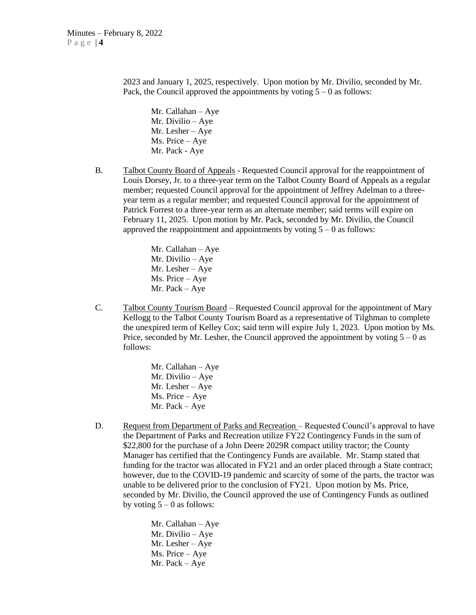2023 and January 1, 2025, respectively. Upon motion by Mr. Divilio, seconded by Mr. Pack, the Council approved the appointments by voting  $5 - 0$  as follows:

Mr. Callahan – Aye Mr. Divilio – Aye Mr. Lesher – Aye Ms. Price – Aye Mr. Pack - Aye

B. Talbot County Board of Appeals - Requested Council approval for the reappointment of Louis Dorsey, Jr. to a three-year term on the Talbot County Board of Appeals as a regular member; requested Council approval for the appointment of Jeffrey Adelman to a threeyear term as a regular member; and requested Council approval for the appointment of Patrick Forrest to a three-year term as an alternate member; said terms will expire on February 11, 2025. Upon motion by Mr. Pack, seconded by Mr. Divilio, the Council approved the reappointment and appointments by voting  $5 - 0$  as follows:

> Mr. Callahan – Aye Mr. Divilio – Aye Mr. Lesher – Aye Ms. Price – Aye Mr. Pack – Aye

C. Talbot County Tourism Board – Requested Council approval for the appointment of Mary Kellogg to the Talbot County Tourism Board as a representative of Tilghman to complete the unexpired term of Kelley Cox; said term will expire July 1, 2023. Upon motion by Ms. Price, seconded by Mr. Lesher, the Council approved the appointment by voting  $5 - 0$  as follows:

> Mr. Callahan – Aye Mr. Divilio – Aye Mr. Lesher – Aye Ms. Price – Aye Mr. Pack – Aye

D. Request from Department of Parks and Recreation – Requested Council's approval to have the Department of Parks and Recreation utilize FY22 Contingency Funds in the sum of \$22,800 for the purchase of a John Deere 2029R compact utility tractor; the County Manager has certified that the Contingency Funds are available. Mr. Stamp stated that funding for the tractor was allocated in FY21 and an order placed through a State contract; however, due to the COVID-19 pandemic and scarcity of some of the parts, the tractor was unable to be delivered prior to the conclusion of FY21. Upon motion by Ms. Price, seconded by Mr. Divilio, the Council approved the use of Contingency Funds as outlined by voting  $5 - 0$  as follows:

> Mr. Callahan – Aye Mr. Divilio – Aye Mr. Lesher – Aye Ms. Price – Aye Mr. Pack – Aye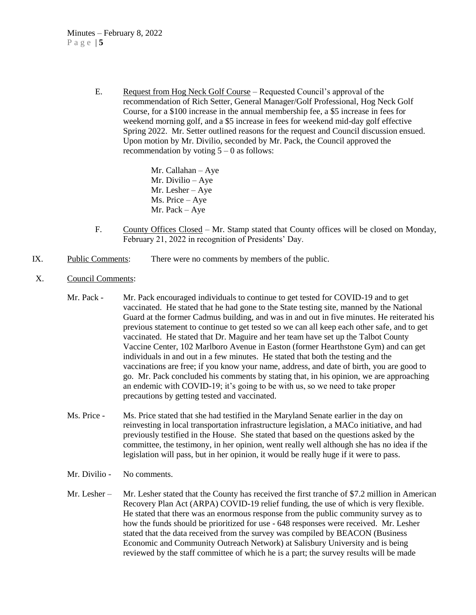E. Request from Hog Neck Golf Course – Requested Council's approval of the recommendation of Rich Setter, General Manager/Golf Professional, Hog Neck Golf Course, for a \$100 increase in the annual membership fee, a \$5 increase in fees for weekend morning golf, and a \$5 increase in fees for weekend mid-day golf effective Spring 2022. Mr. Setter outlined reasons for the request and Council discussion ensued. Upon motion by Mr. Divilio, seconded by Mr. Pack, the Council approved the recommendation by voting  $5 - 0$  as follows:

> Mr. Callahan – Aye Mr. Divilio – Aye Mr. Lesher – Aye Ms. Price – Aye Mr. Pack – Aye

- F. County Offices Closed Mr. Stamp stated that County offices will be closed on Monday, February 21, 2022 in recognition of Presidents' Day.
- IX. Public Comments: There were no comments by members of the public.
- X. Council Comments:
	- Mr. Pack Mr. Pack encouraged individuals to continue to get tested for COVID-19 and to get vaccinated. He stated that he had gone to the State testing site, manned by the National Guard at the former Cadmus building, and was in and out in five minutes. He reiterated his previous statement to continue to get tested so we can all keep each other safe, and to get vaccinated. He stated that Dr. Maguire and her team have set up the Talbot County Vaccine Center, 102 Marlboro Avenue in Easton (former Hearthstone Gym) and can get individuals in and out in a few minutes. He stated that both the testing and the vaccinations are free; if you know your name, address, and date of birth, you are good to go. Mr. Pack concluded his comments by stating that, in his opinion, we are approaching an endemic with COVID-19; it's going to be with us, so we need to take proper precautions by getting tested and vaccinated.
	- Ms. Price Ms. Price stated that she had testified in the Maryland Senate earlier in the day on reinvesting in local transportation infrastructure legislation, a MACo initiative, and had previously testified in the House. She stated that based on the questions asked by the committee, the testimony, in her opinion, went really well although she has no idea if the legislation will pass, but in her opinion, it would be really huge if it were to pass.
	- Mr. Divilio No comments.
	- Mr. Lesher Mr. Lesher stated that the County has received the first tranche of \$7.2 million in American Recovery Plan Act (ARPA) COVID-19 relief funding, the use of which is very flexible. He stated that there was an enormous response from the public community survey as to how the funds should be prioritized for use - 648 responses were received. Mr. Lesher stated that the data received from the survey was compiled by BEACON (Business Economic and Community Outreach Network) at Salisbury University and is being reviewed by the staff committee of which he is a part; the survey results will be made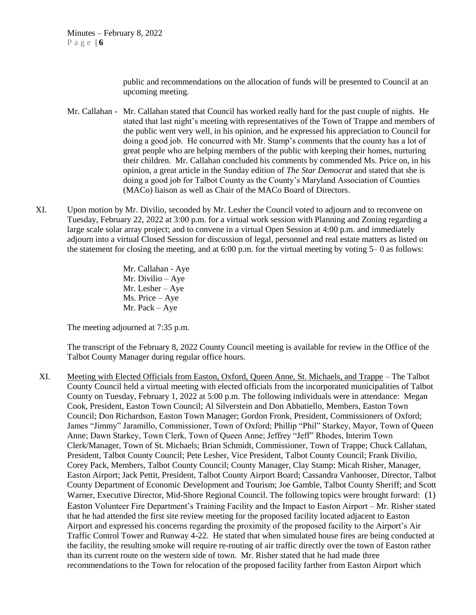public and recommendations on the allocation of funds will be presented to Council at an upcoming meeting.

- Mr. Callahan Mr. Callahan stated that Council has worked really hard for the past couple of nights. He stated that last night's meeting with representatives of the Town of Trappe and members of the public went very well, in his opinion, and he expressed his appreciation to Council for doing a good job. He concurred with Mr. Stamp's comments that the county has a lot of great people who are helping members of the public with keeping their homes, nurturing their children. Mr. Callahan concluded his comments by commended Ms. Price on, in his opinion, a great article in the Sunday edition of *The Star Democrat* and stated that she is doing a good job for Talbot County as the County's Maryland Association of Counties (MACo) liaison as well as Chair of the MACo Board of Directors.
- XI. Upon motion by Mr. Divilio, seconded by Mr. Lesher the Council voted to adjourn and to reconvene on Tuesday, February 22, 2022 at 3:00 p.m. for a virtual work session with Planning and Zoning regarding a large scale solar array project; and to convene in a virtual Open Session at 4:00 p.m. and immediately adjourn into a virtual Closed Session for discussion of legal, personnel and real estate matters as listed on the statement for closing the meeting, and at  $6:00$  p.m. for the virtual meeting by voting  $5-0$  as follows:

Mr. Callahan - Aye Mr. Divilio – Aye Mr. Lesher – Aye Ms. Price – Aye Mr. Pack – Aye

The meeting adjourned at 7:35 p.m.

The transcript of the February 8, 2022 County Council meeting is available for review in the Office of the Talbot County Manager during regular office hours.

XI. Meeting with Elected Officials from Easton, Oxford, Queen Anne, St. Michaels, and Trappe – The Talbot County Council held a virtual meeting with elected officials from the incorporated municipalities of Talbot County on Tuesday, February 1, 2022 at 5:00 p.m. The following individuals were in attendance: Megan Cook, President, Easton Town Council; Al Silverstein and Don Abbatiello, Members, Easton Town Council; Don Richardson, Easton Town Manager; Gordon Fronk, President, Commissioners of Oxford; James "Jimmy" Jaramillo, Commissioner, Town of Oxford; Phillip "Phil" Starkey, Mayor, Town of Queen Anne; Dawn Starkey, Town Clerk, Town of Queen Anne; Jeffrey "Jeff" Rhodes, Interim Town Clerk/Manager, Town of St. Michaels; Brian Schmidt, Commissioner, Town of Trappe; Chuck Callahan, President, Talbot County Council; Pete Lesher, Vice President, Talbot County Council; Frank Divilio, Corey Pack, Members, Talbot County Council; County Manager, Clay Stamp; Micah Risher, Manager, Easton Airport; Jack Pettit, President, Talbot County Airport Board; Cassandra Vanhooser, Director, Talbot County Department of Economic Development and Tourism; Joe Gamble, Talbot County Sheriff; and Scott Warner, Executive Director, Mid-Shore Regional Council. The following topics were brought forward: (1) Easton Volunteer Fire Department's Training Facility and the Impact to Easton Airport – Mr. Risher stated that he had attended the first site review meeting for the proposed facility located adjacent to Easton Airport and expressed his concerns regarding the proximity of the proposed facility to the Airport's Air Traffic Control Tower and Runway 4-22. He stated that when simulated house fires are being conducted at the facility, the resulting smoke will require re-routing of air traffic directly over the town of Easton rather than its current route on the western side of town. Mr. Risher stated that he had made three recommendations to the Town for relocation of the proposed facility farther from Easton Airport which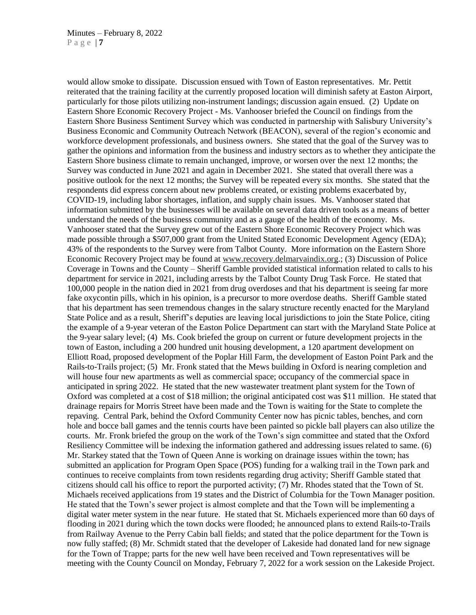would allow smoke to dissipate. Discussion ensued with Town of Easton representatives. Mr. Pettit reiterated that the training facility at the currently proposed location will diminish safety at Easton Airport, particularly for those pilots utilizing non-instrument landings; discussion again ensued. (2) Update on Eastern Shore Economic Recovery Project - Ms. Vanhooser briefed the Council on findings from the Eastern Shore Business Sentiment Survey which was conducted in partnership with Salisbury University's Business Economic and Community Outreach Network (BEACON), several of the region's economic and workforce development professionals, and business owners. She stated that the goal of the Survey was to gather the opinions and information from the business and industry sectors as to whether they anticipate the Eastern Shore business climate to remain unchanged, improve, or worsen over the next 12 months; the Survey was conducted in June 2021 and again in December 2021. She stated that overall there was a positive outlook for the next 12 months; the Survey will be repeated every six months. She stated that the respondents did express concern about new problems created, or existing problems exacerbated by, COVID-19, including labor shortages, inflation, and supply chain issues. Ms. Vanhooser stated that information submitted by the businesses will be available on several data driven tools as a means of better understand the needs of the business community and as a gauge of the health of the economy. Ms. Vanhooser stated that the Survey grew out of the Eastern Shore Economic Recovery Project which was made possible through a \$507,000 grant from the United Stated Economic Development Agency (EDA); 43% of the respondents to the Survey were from Talbot County. More information on the Eastern Shore Economic Recovery Project may be found at [www.recovery.delmarvaindix.org.](http://www.recovery.delmarvaindix.org/); (3) Discussion of Police Coverage in Towns and the County – Sheriff Gamble provided statistical information related to calls to his department for service in 2021, including arrests by the Talbot County Drug Task Force. He stated that 100,000 people in the nation died in 2021 from drug overdoses and that his department is seeing far more fake oxycontin pills, which in his opinion, is a precursor to more overdose deaths. Sheriff Gamble stated that his department has seen tremendous changes in the salary structure recently enacted for the Maryland State Police and as a result, Sheriff's deputies are leaving local jurisdictions to join the State Police, citing the example of a 9-year veteran of the Easton Police Department can start with the Maryland State Police at the 9-year salary level; (4) Ms. Cook briefed the group on current or future development projects in the town of Easton, including a 200 hundred unit housing development, a 120 apartment development on Elliott Road, proposed development of the Poplar Hill Farm, the development of Easton Point Park and the Rails-to-Trails project; (5) Mr. Fronk stated that the Mews building in Oxford is nearing completion and will house four new apartments as well as commercial space; occupancy of the commercial space in anticipated in spring 2022. He stated that the new wastewater treatment plant system for the Town of Oxford was completed at a cost of \$18 million; the original anticipated cost was \$11 million. He stated that drainage repairs for Morris Street have been made and the Town is waiting for the State to complete the repaving. Central Park, behind the Oxford Community Center now has picnic tables, benches, and corn hole and bocce ball games and the tennis courts have been painted so pickle ball players can also utilize the courts. Mr. Fronk briefed the group on the work of the Town's sign committee and stated that the Oxford Resiliency Committee will be indexing the information gathered and addressing issues related to same. (6) Mr. Starkey stated that the Town of Queen Anne is working on drainage issues within the town; has submitted an application for Program Open Space (POS) funding for a walking trail in the Town park and continues to receive complaints from town residents regarding drug activity; Sheriff Gamble stated that citizens should call his office to report the purported activity; (7) Mr. Rhodes stated that the Town of St. Michaels received applications from 19 states and the District of Columbia for the Town Manager position. He stated that the Town's sewer project is almost complete and that the Town will be implementing a digital water meter system in the near future. He stated that St. Michaels experienced more than 60 days of flooding in 2021 during which the town docks were flooded; he announced plans to extend Rails-to-Trails from Railway Avenue to the Perry Cabin ball fields; and stated that the police department for the Town is now fully staffed; (8) Mr. Schmidt stated that the developer of Lakeside had donated land for new signage for the Town of Trappe; parts for the new well have been received and Town representatives will be meeting with the County Council on Monday, February 7, 2022 for a work session on the Lakeside Project.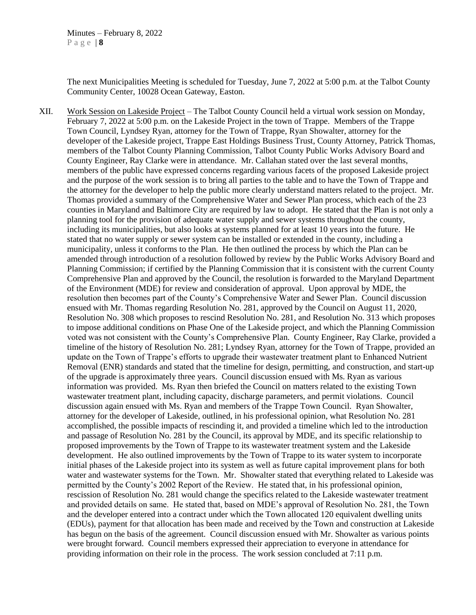The next Municipalities Meeting is scheduled for Tuesday, June 7, 2022 at 5:00 p.m. at the Talbot County Community Center, 10028 Ocean Gateway, Easton.

XII. Work Session on Lakeside Project – The Talbot County Council held a virtual work session on Monday, February 7, 2022 at 5:00 p.m. on the Lakeside Project in the town of Trappe. Members of the Trappe Town Council, Lyndsey Ryan, attorney for the Town of Trappe, Ryan Showalter, attorney for the developer of the Lakeside project, Trappe East Holdings Business Trust, County Attorney, Patrick Thomas, members of the Talbot County Planning Commission, Talbot County Public Works Advisory Board and County Engineer, Ray Clarke were in attendance. Mr. Callahan stated over the last several months, members of the public have expressed concerns regarding various facets of the proposed Lakeside project and the purpose of the work session is to bring all parties to the table and to have the Town of Trappe and the attorney for the developer to help the public more clearly understand matters related to the project. Mr. Thomas provided a summary of the Comprehensive Water and Sewer Plan process, which each of the 23 counties in Maryland and Baltimore City are required by law to adopt. He stated that the Plan is not only a planning tool for the provision of adequate water supply and sewer systems throughout the county, including its municipalities, but also looks at systems planned for at least 10 years into the future. He stated that no water supply or sewer system can be installed or extended in the county, including a municipality, unless it conforms to the Plan. He then outlined the process by which the Plan can be amended through introduction of a resolution followed by review by the Public Works Advisory Board and Planning Commission; if certified by the Planning Commission that it is consistent with the current County Comprehensive Plan and approved by the Council, the resolution is forwarded to the Maryland Department of the Environment (MDE) for review and consideration of approval. Upon approval by MDE, the resolution then becomes part of the County's Comprehensive Water and Sewer Plan. Council discussion ensued with Mr. Thomas regarding Resolution No. 281, approved by the Council on August 11, 2020, Resolution No. 308 which proposes to rescind Resolution No. 281, and Resolution No. 313 which proposes to impose additional conditions on Phase One of the Lakeside project, and which the Planning Commission voted was not consistent with the County's Comprehensive Plan. County Engineer, Ray Clarke, provided a timeline of the history of Resolution No. 281; Lyndsey Ryan, attorney for the Town of Trappe, provided an update on the Town of Trappe's efforts to upgrade their wastewater treatment plant to Enhanced Nutrient Removal (ENR) standards and stated that the timeline for design, permitting, and construction, and start-up of the upgrade is approximately three years. Council discussion ensued with Ms. Ryan as various information was provided. Ms. Ryan then briefed the Council on matters related to the existing Town wastewater treatment plant, including capacity, discharge parameters, and permit violations. Council discussion again ensued with Ms. Ryan and members of the Trappe Town Council. Ryan Showalter, attorney for the developer of Lakeside, outlined, in his professional opinion, what Resolution No. 281 accomplished, the possible impacts of rescinding it, and provided a timeline which led to the introduction and passage of Resolution No. 281 by the Council, its approval by MDE, and its specific relationship to proposed improvements by the Town of Trappe to its wastewater treatment system and the Lakeside development. He also outlined improvements by the Town of Trappe to its water system to incorporate initial phases of the Lakeside project into its system as well as future capital improvement plans for both water and wastewater systems for the Town. Mr. Showalter stated that everything related to Lakeside was permitted by the County's 2002 Report of the Review. He stated that, in his professional opinion, rescission of Resolution No. 281 would change the specifics related to the Lakeside wastewater treatment and provided details on same. He stated that, based on MDE's approval of Resolution No. 281, the Town and the developer entered into a contract under which the Town allocated 120 equivalent dwelling units (EDUs), payment for that allocation has been made and received by the Town and construction at Lakeside has begun on the basis of the agreement. Council discussion ensued with Mr. Showalter as various points were brought forward. Council members expressed their appreciation to everyone in attendance for providing information on their role in the process. The work session concluded at 7:11 p.m.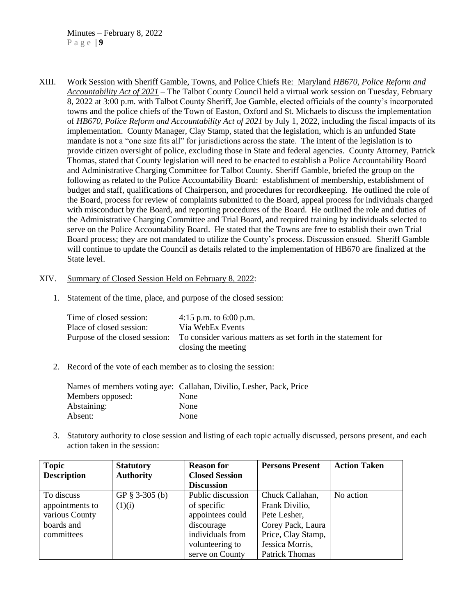XIII. Work Session with Sheriff Gamble, Towns, and Police Chiefs Re: Maryland *HB670, Police Reform and Accountability Act of 2021 –* The Talbot County Council held a virtual work session on Tuesday, February 8, 2022 at 3:00 p.m. with Talbot County Sheriff, Joe Gamble, elected officials of the county's incorporated towns and the police chiefs of the Town of Easton, Oxford and St. Michaels to discuss the implementation of *HB670, Police Reform and Accountability Act of 2021* by July 1, 2022, including the fiscal impacts of its implementation. County Manager, Clay Stamp, stated that the legislation, which is an unfunded State mandate is not a "one size fits all" for jurisdictions across the state. The intent of the legislation is to provide citizen oversight of police, excluding those in State and federal agencies. County Attorney, Patrick Thomas, stated that County legislation will need to be enacted to establish a Police Accountability Board and Administrative Charging Committee for Talbot County. Sheriff Gamble, briefed the group on the following as related to the Police Accountability Board: establishment of membership, establishment of budget and staff, qualifications of Chairperson, and procedures for recordkeeping. He outlined the role of the Board, process for review of complaints submitted to the Board, appeal process for individuals charged with misconduct by the Board, and reporting procedures of the Board. He outlined the role and duties of the Administrative Charging Committee and Trial Board, and required training by individuals selected to serve on the Police Accountability Board. He stated that the Towns are free to establish their own Trial Board process; they are not mandated to utilize the County's process. Discussion ensued. Sheriff Gamble will continue to update the Council as details related to the implementation of HB670 are finalized at the State level.

#### XIV. Summary of Closed Session Held on February 8, 2022:

1. Statement of the time, place, and purpose of the closed session:

| Time of closed session:        | 4:15 p.m. to $6:00$ p.m.                                                             |
|--------------------------------|--------------------------------------------------------------------------------------|
| Place of closed session:       | Via WebEx Events                                                                     |
| Purpose of the closed session: | To consider various matters as set forth in the statement for<br>closing the meeting |

2. Record of the vote of each member as to closing the session:

|                  | Names of members voting aye: Callahan, Divilio, Lesher, Pack, Price |
|------------------|---------------------------------------------------------------------|
| Members opposed: | <b>None</b>                                                         |
| Abstaining:      | None                                                                |
| Absent:          | None                                                                |

3. Statutory authority to close session and listing of each topic actually discussed, persons present, and each action taken in the session:

| <b>Topic</b>       | <b>Statutory</b>  | <b>Reason for</b>     | <b>Persons Present</b> | <b>Action Taken</b> |
|--------------------|-------------------|-----------------------|------------------------|---------------------|
| <b>Description</b> | <b>Authority</b>  | <b>Closed Session</b> |                        |                     |
|                    |                   | <b>Discussion</b>     |                        |                     |
| To discuss         | GP $\S$ 3-305 (b) | Public discussion     | Chuck Callahan,        | No action           |
| appointments to    | (1)(i)            | of specific           | Frank Divilio,         |                     |
| various County     |                   | appointees could      | Pete Lesher,           |                     |
| boards and         |                   | discourage            | Corey Pack, Laura      |                     |
| committees         |                   | individuals from      | Price, Clay Stamp,     |                     |
|                    |                   | volunteering to       | Jessica Morris,        |                     |
|                    |                   | serve on County       | <b>Patrick Thomas</b>  |                     |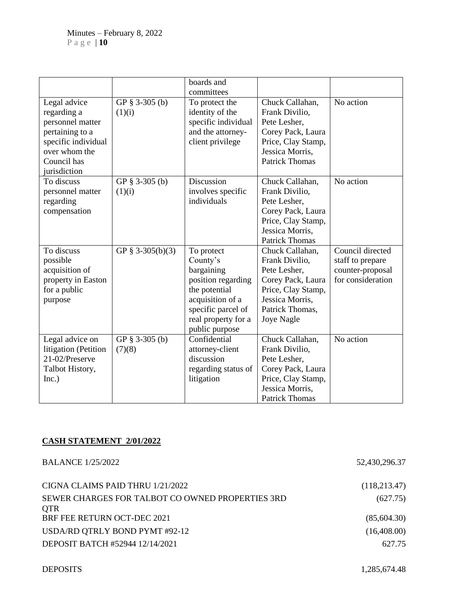|                                                                                                                                           |                          | boards and<br>committees                                                                                                                                       |                                                                                                                                                  |                                                                               |
|-------------------------------------------------------------------------------------------------------------------------------------------|--------------------------|----------------------------------------------------------------------------------------------------------------------------------------------------------------|--------------------------------------------------------------------------------------------------------------------------------------------------|-------------------------------------------------------------------------------|
| Legal advice<br>regarding a<br>personnel matter<br>pertaining to a<br>specific individual<br>over whom the<br>Council has<br>jurisdiction | GP § 3-305 (b)<br>(1)(i) | To protect the<br>identity of the<br>specific individual<br>and the attorney-<br>client privilege                                                              | Chuck Callahan,<br>Frank Divilio,<br>Pete Lesher,<br>Corey Pack, Laura<br>Price, Clay Stamp,<br>Jessica Morris,<br><b>Patrick Thomas</b>         | No action                                                                     |
| To discuss<br>personnel matter<br>regarding<br>compensation                                                                               | GP § 3-305 (b)<br>(1)(i) | Discussion<br>involves specific<br>individuals                                                                                                                 | Chuck Callahan,<br>Frank Divilio,<br>Pete Lesher,<br>Corey Pack, Laura<br>Price, Clay Stamp,<br>Jessica Morris,<br><b>Patrick Thomas</b>         | No action                                                                     |
| To discuss<br>possible<br>acquisition of<br>property in Easton<br>for a public<br>purpose                                                 | GP § 3-305(b)(3)         | To protect<br>County's<br>bargaining<br>position regarding<br>the potential<br>acquisition of a<br>specific parcel of<br>real property for a<br>public purpose | Chuck Callahan,<br>Frank Divilio,<br>Pete Lesher,<br>Corey Pack, Laura<br>Price, Clay Stamp,<br>Jessica Morris.<br>Patrick Thomas,<br>Joye Nagle | Council directed<br>staff to prepare<br>counter-proposal<br>for consideration |
| Legal advice on<br>litigation (Petition<br>21-02/Preserve<br>Talbot History,<br>Inc.)                                                     | GP § 3-305 (b)<br>(7)(8) | Confidential<br>attorney-client<br>discussion<br>regarding status of<br>litigation                                                                             | Chuck Callahan,<br>Frank Divilio,<br>Pete Lesher,<br>Corey Pack, Laura<br>Price, Clay Stamp,<br>Jessica Morris,<br><b>Patrick Thomas</b>         | No action                                                                     |

# **CASH STATEMENT 2/01/2022**

| <b>BALANCE 1/25/2022</b>                                       | 52,430,296.37 |
|----------------------------------------------------------------|---------------|
| CIGNA CLAIMS PAID THRU 1/21/2022                               | (118, 213.47) |
| SEWER CHARGES FOR TALBOT CO OWNED PROPERTIES 3RD<br><b>OTR</b> | (627.75)      |
| BRF FEE RETURN OCT-DEC 2021                                    | (85,604.30)   |
| USDA/RD QTRLY BOND PYMT #92-12                                 | (16,408.00)   |
| DEPOSIT BATCH #52944 12/14/2021                                | 627.75        |

DEPOSITS 1,285,674.48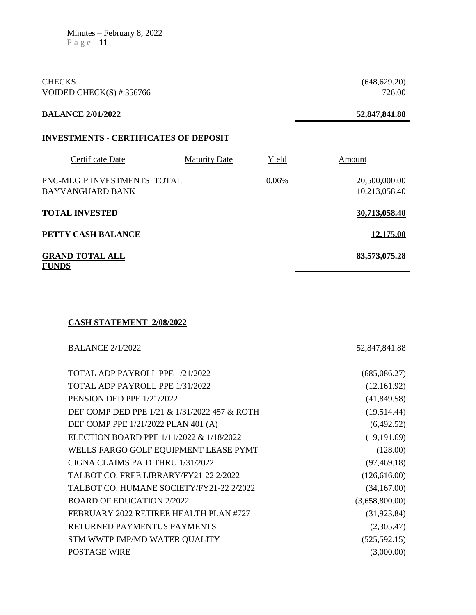Minutes – February 8, 2022 P a g e | **11**

CHECKS (648,629.20) VOIDED CHECK(S)  $\# 356766$  726.00

## **BALANCE 2/01/2022 52,847,841.88**

### **INVESTMENTS - CERTIFICATES OF DEPOSIT**

| Certificate Date                                | <b>Maturity Date</b> | Yield | Amount                         |
|-------------------------------------------------|----------------------|-------|--------------------------------|
| PNC-MLGIP INVESTMENTS TOTAL<br>BAYVANGUARD BANK |                      | 0.06% | 20,500,000.00<br>10,213,058.40 |
| <b>TOTAL INVESTED</b>                           |                      |       | 30.713.058.40                  |
| PETTY CASH BALANCE                              |                      |       | 12,175.00                      |
| <b>GRAND TOTAL ALL</b><br><b>FUNDS</b>          |                      |       | 83,573,075.28                  |

# **CASH STATEMENT 2/08/2022**

| <b>BALANCE 2/1/2022</b>                      | 52,847,841.88  |
|----------------------------------------------|----------------|
| TOTAL ADP PAYROLL PPE 1/21/2022              | (685,086.27)   |
| TOTAL ADP PAYROLL PPE 1/31/2022              | (12,161.92)    |
| PENSION DED PPE 1/21/2022                    | (41, 849.58)   |
| DEF COMP DED PPE 1/21 & 1/31/2022 457 & ROTH | (19,514.44)    |
| DEF COMP PPE 1/21/2022 PLAN 401 (A)          | (6,492.52)     |
| ELECTION BOARD PPE 1/11/2022 & 1/18/2022     | (19, 191.69)   |
| WELLS FARGO GOLF EQUIPMENT LEASE PYMT        | (128.00)       |
| CIGNA CLAIMS PAID THRU 1/31/2022             | (97, 469.18)   |
| TALBOT CO. FREE LIBRARY/FY21-22 2/2022       | (126, 616.00)  |
| TALBOT CO. HUMANE SOCIETY/FY21-22 2/2022     | (34,167.00)    |
| <b>BOARD OF EDUCATION 2/2022</b>             | (3,658,800.00) |
| FEBRUARY 2022 RETIREE HEALTH PLAN #727       | (31, 923.84)   |
| RETURNED PAYMENTUS PAYMENTS                  | (2,305.47)     |
| STM WWTP IMP/MD WATER QUALITY                | (525, 592.15)  |
| <b>POSTAGE WIRE</b>                          | (3,000.00)     |